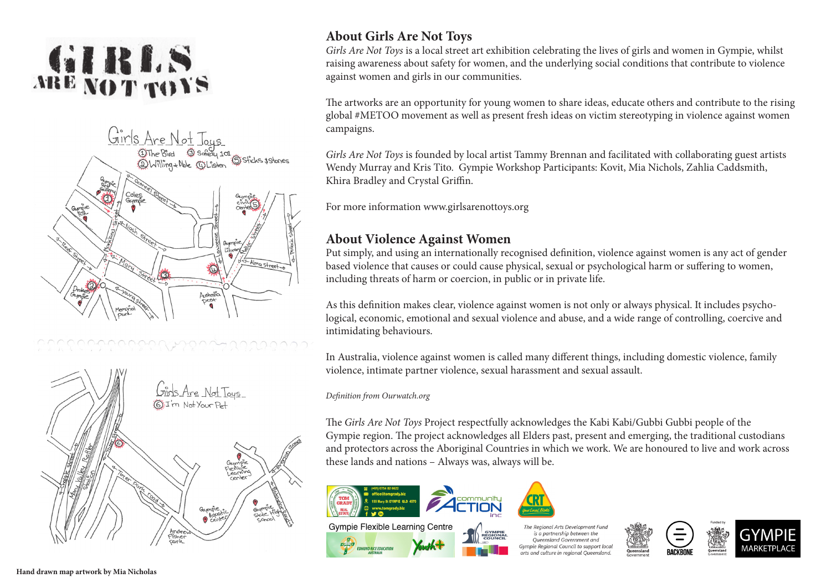# GIRLS





### **About Girls Are Not Toys**

*Girls Are Not Toys* is a local street art exhibition celebrating the lives of girls and women in Gympie, whilst raising awareness about safety for women, and the underlying social conditions that contribute to violence against women and girls in our communities.

The artworks are an opportunity for young women to share ideas, educate others and contribute to the rising global #METOO movement as well as present fresh ideas on victim stereotyping in violence against women campaigns.

*Girls Are Not Toys* is founded by local artist Tammy Brennan and facilitated with collaborating guest artists Wendy Murray and Kris Tito. Gympie Workshop Participants: Kovit, Mia Nichols, Zahlia Caddsmith, Khira Bradley and Crystal Griffin.

For more information www.girlsarenottoys.org

#### **About Violence Against Women**

Put simply, and using an internationally recognised definition, violence against women is any act of gender based violence that causes or could cause physical, sexual or psychological harm or suffering to women, including threats of harm or coercion, in public or in private life.

As this definition makes clear, violence against women is not only or always physical. It includes psychological, economic, emotional and sexual violence and abuse, and a wide range of controlling, coercive and intimidating behaviours.

In Australia, violence against women is called many different things, including domestic violence, family violence, intimate partner violence, sexual harassment and sexual assault.

*Definition from Ourwatch.org*

The *Girls Are Not Toys* Project respectfully acknowledges the Kabi Kabi/Gubbi Gubbi people of the Gympie region. The project acknowledges all Elders past, present and emerging, the traditional custodians and protectors across the Aboriginal Countries in which we work. We are honoured to live and work across these lands and nations – Always was, always will be.



he Reaional Arts Development Fun is a partnership between the Queensland Government and **Gympie Regional Council to support loca**